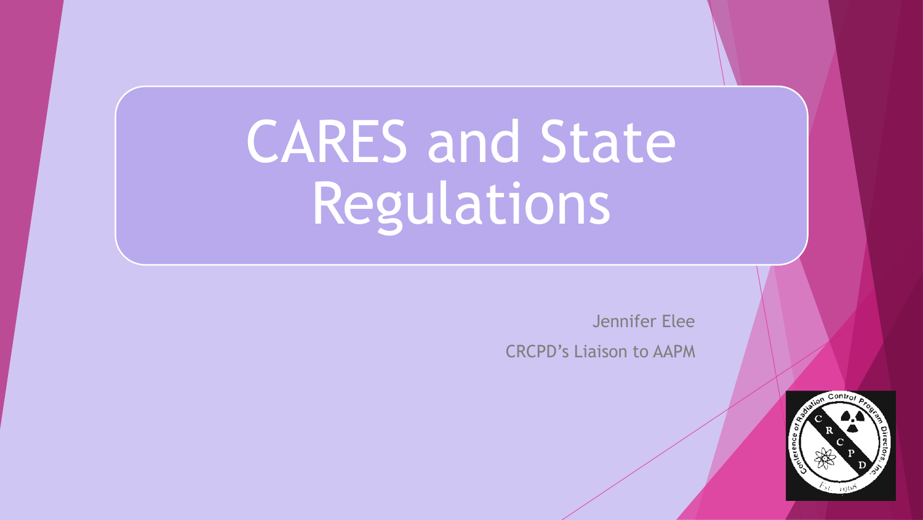# CARES and State Regulations

Jennifer Elee

CRCPD's Liaison to AAPM

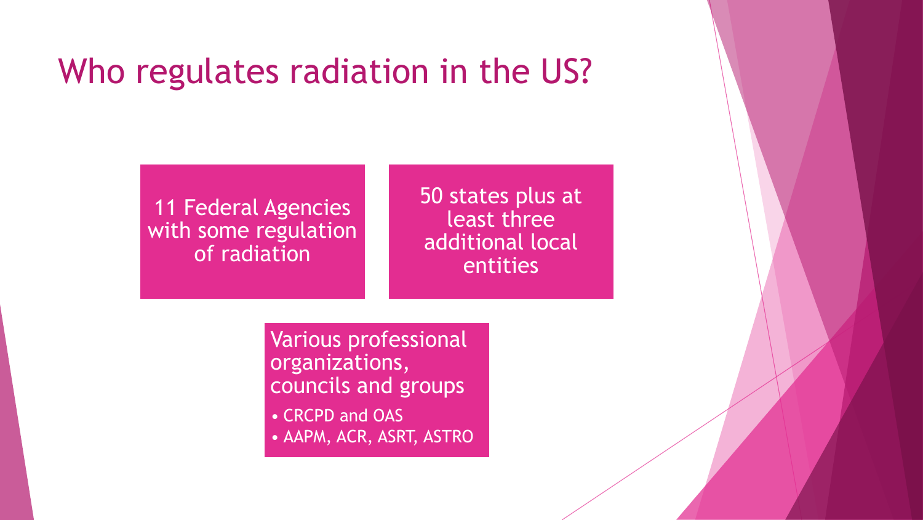#### Who regulates radiation in the US?

11 Federal Agencies with some regulation of radiation

50 states plus at least three additional local entities

Various professional organizations, councils and groups

- CRCPD and OAS
- AAPM, ACR, ASRT, ASTRO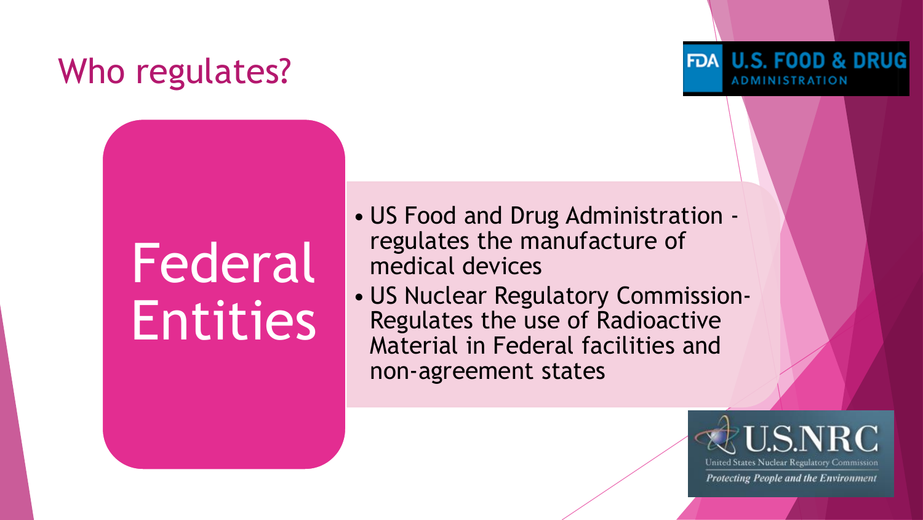## Who regulates?

# Federal Entities

- US Food and Drug Administration regulates the manufacture of medical devices
- US Nuclear Regulatory Commission-Regulates the use of Radioactive Material in Federal facilities and non-agreement states



FDA U.S. FOOD & DRUG

**ADMINISTRATION**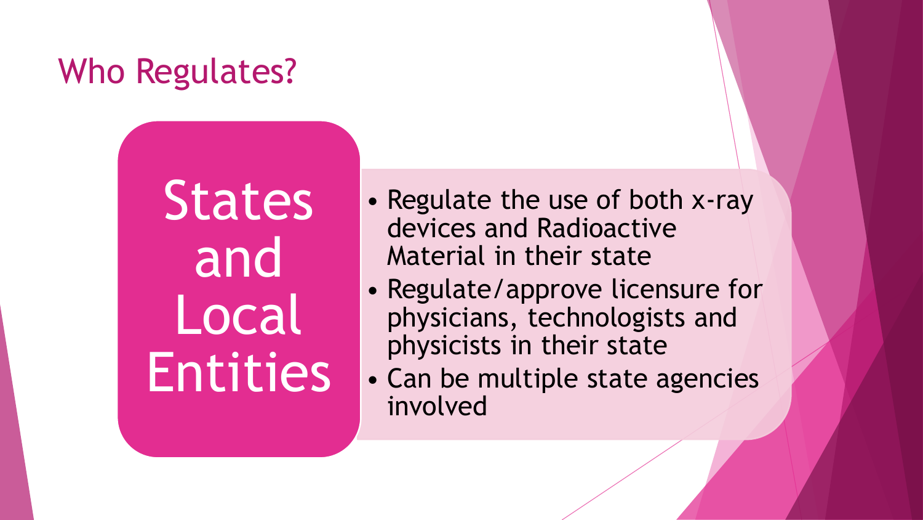## Who Regulates?

**States** and Local **Entities** 

- Regulate the use of both x-ray devices and Radioactive Material in their state
- Regulate/approve licensure for physicians, technologists and physicists in their state
- Can be multiple state agencies involved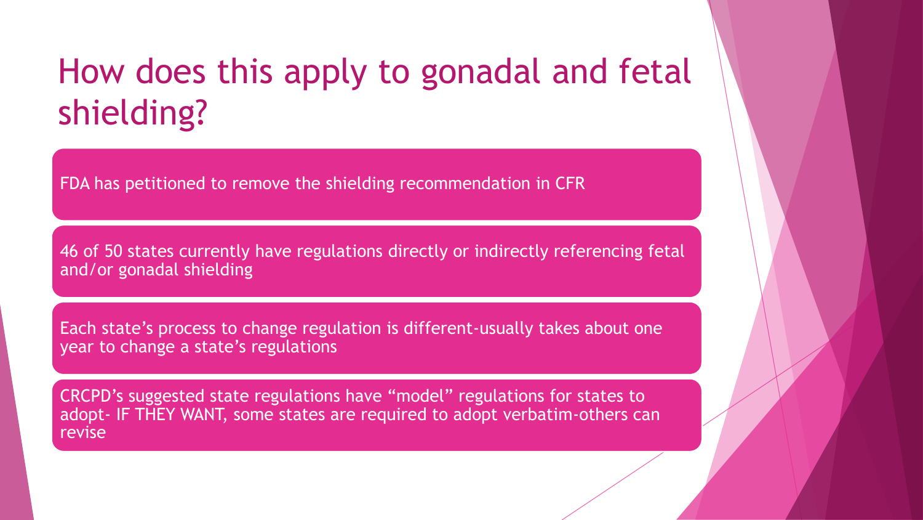### How does this apply to gonadal and fetal shielding?

FDA has petitioned to remove the shielding recommendation in CFR

46 of 50 states currently have regulations directly or indirectly referencing fetal and/or gonadal shielding

Each state's process to change regulation is different-usually takes about one year to change a state's regulations

CRCPD's suggested state regulations have "model" regulations for states to adopt- IF THEY WANT, some states are required to adopt verbatim-others can revise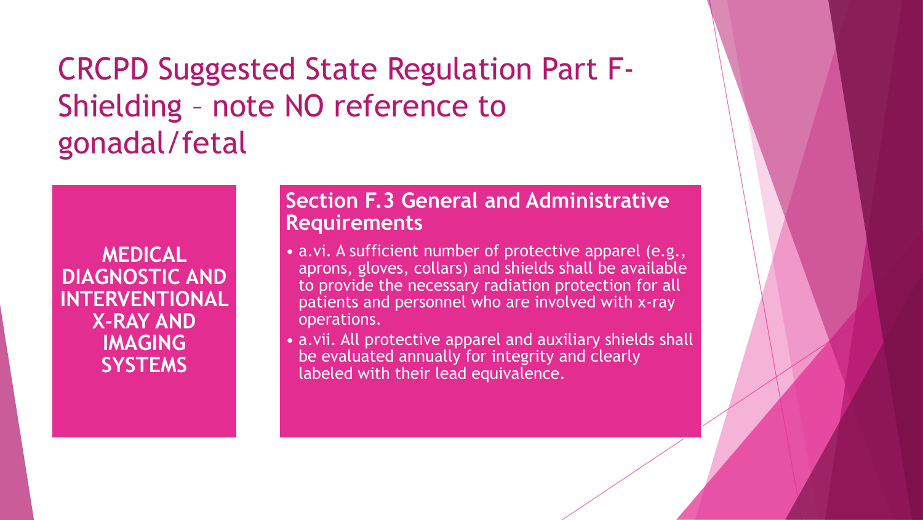CRCPD Suggested State Regulation Part F-Shielding – note NO reference to gonadal/fetal

**MEDICAL DIAGNOSTIC AND INTERVENTIONAL X-RAY AND IMAGING SYSTEMS** 

#### **Section F.3 General and Administrative Requirements**

- a.vi. A sufficient number of protective apparel (e.g., aprons, gloves, collars) and shields shall be available to provide the necessary radiation protection for all patients and personnel who are involved with x-ray operations.
- a.vii. All protective apparel and auxiliary shields shall be evaluated annually for integrity and clearly labeled with their lead equivalence.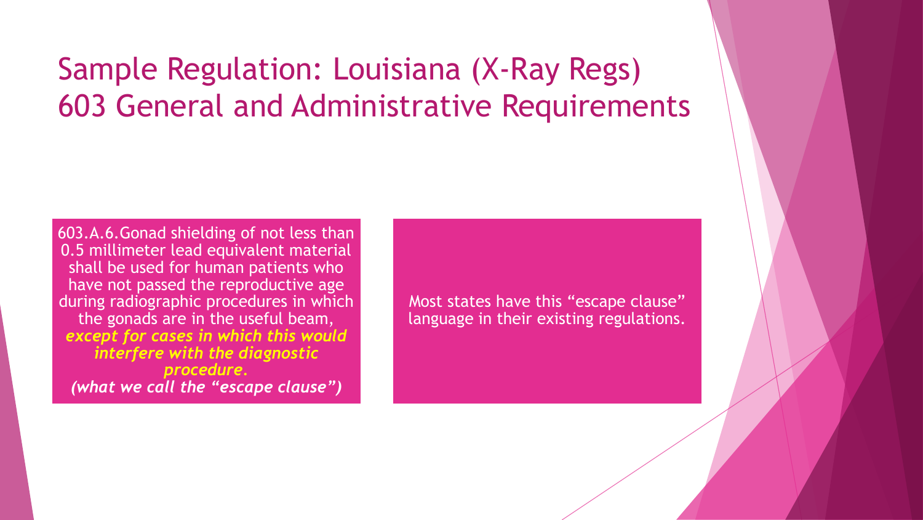#### Sample Regulation: Louisiana (X-Ray Regs) 603 General and Administrative Requirements

603.A.6.Gonad shielding of not less than 0.5 millimeter lead equivalent material shall be used for human patients who have not passed the reproductive age during radiographic procedures in which the gonads are in the useful beam, *except for cases in which this would interfere with the diagnostic procedure. (what we call the "escape clause")*

Most states have this "escape clause" language in their existing regulations.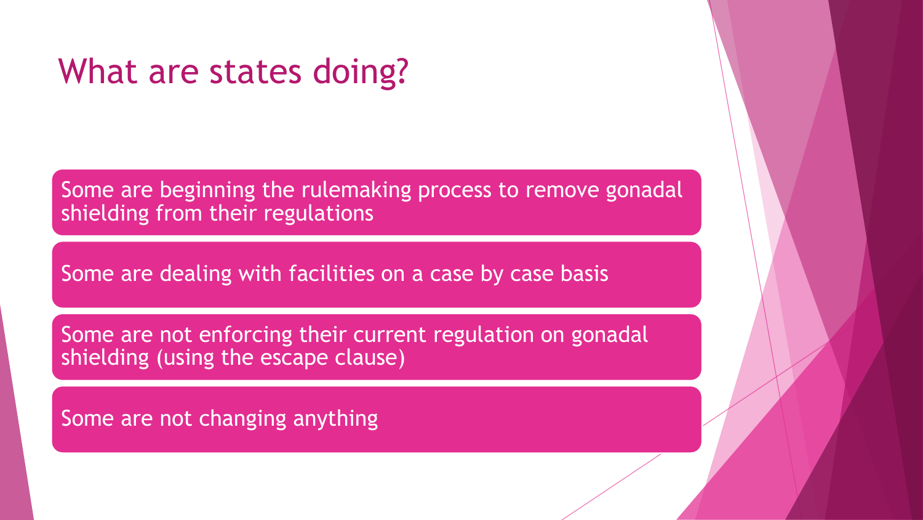#### What are states doing?

Some are beginning the rulemaking process to remove gonadal shielding from their regulations

Some are dealing with facilities on a case by case basis

Some are not enforcing their current regulation on gonadal shielding (using the escape clause)

Some are not changing anything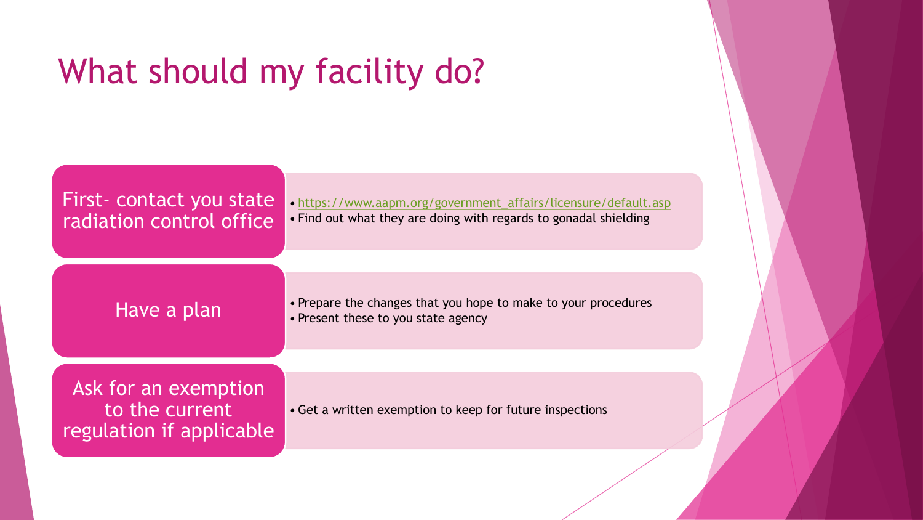## What should my facility do?

| First- contact you state<br>radiation control office               | • https://www.aapm.org/government_affairs/licensure/default.asp<br>• Find out what they are doing with regards to gonadal shielding |  |
|--------------------------------------------------------------------|-------------------------------------------------------------------------------------------------------------------------------------|--|
| Have a plan                                                        | • Prepare the changes that you hope to make to your procedures<br>• Present these to you state agency                               |  |
|                                                                    |                                                                                                                                     |  |
| Ask for an exemption<br>to the current<br>regulation if applicable | • Get a written exemption to keep for future inspections                                                                            |  |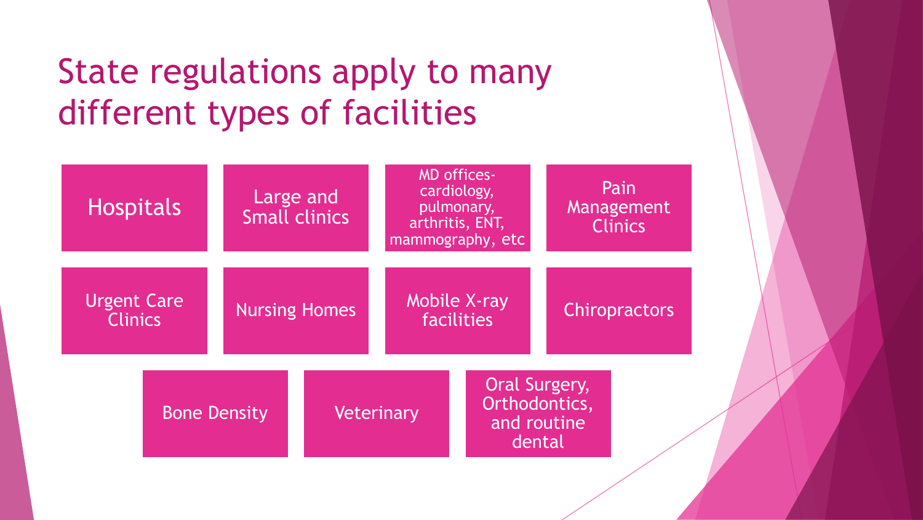## State regulations apply to many different types of facilities

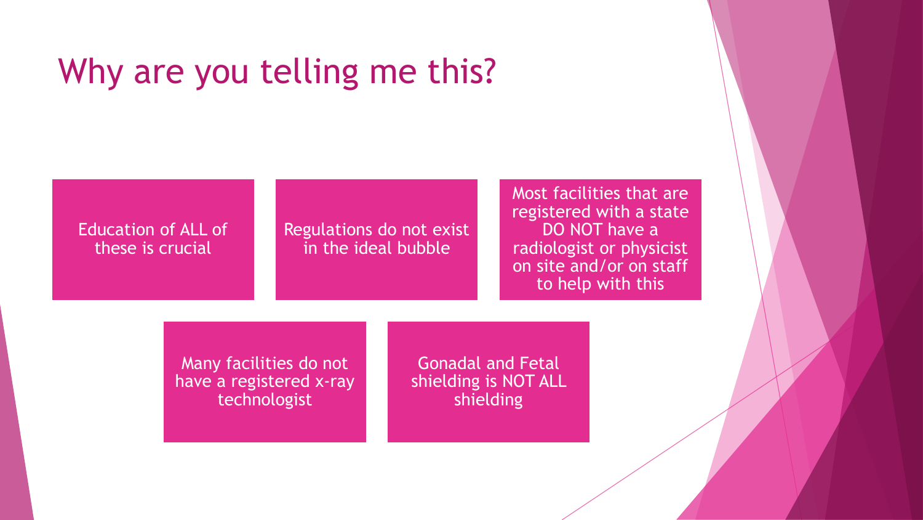#### Why are you telling me this?

#### Education of ALL of these is crucial

Regulations do not exist in the ideal bubble

Most facilities that are registered with a state DO NOT have a radiologist or physicist on site and/or on staff to help with this

Many facilities do not have a registered x-ray technologist

Gonadal and Fetal shielding is NOT ALL shielding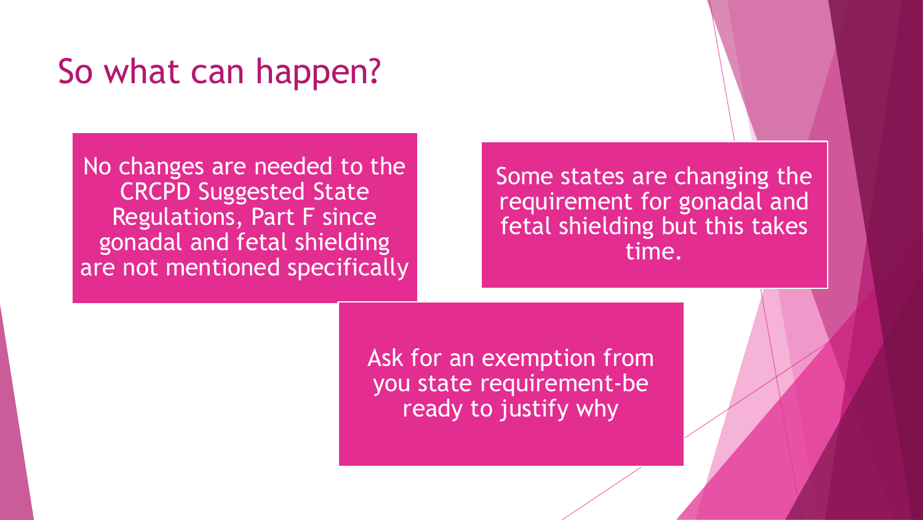#### So what can happen?

No changes are needed to the CRCPD Suggested State Regulations, Part F since gonadal and fetal shielding are not mentioned specifically

Some states are changing the requirement for gonadal and fetal shielding but this takes time.

Ask for an exemption from you state requirement-be ready to justify why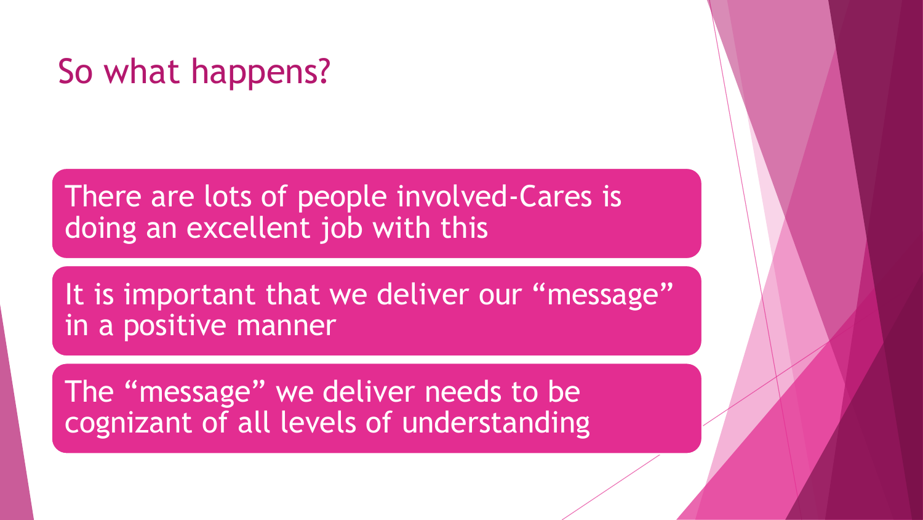#### So what happens?

There are lots of people involved-Cares is doing an excellent job with this

It is important that we deliver our "message" in a positive manner

The "message" we deliver needs to be cognizant of all levels of understanding